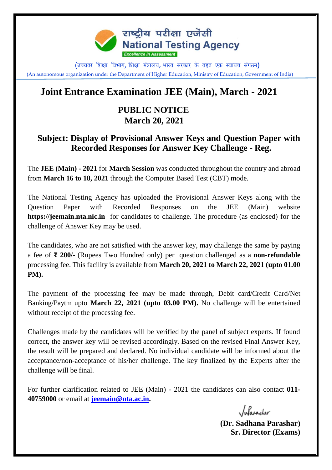

(उच्चतर शिक्षा विभाग, शिक्षा मंत्रालय, भारत सरकार के तहत एक स्वायत्त संगठन) (An autonomous organization under the Department of Higher Education, Ministry of Education, Government of India)

## **Joint Entrance Examination JEE (Main), March - 2021**

## **PUBLIC NOTICE March 20, 2021**

## **Subject: Display of Provisional Answer Keys and Question Paper with Recorded Responses for Answer Key Challenge - Reg.**

The **JEE (Main) - 2021** for **March Session** was conducted throughout the country and abroad from **March 16 to 18, 2021** through the Computer Based Test (CBT) mode.

The National Testing Agency has uploaded the Provisional Answer Keys along with the Question Paper with Recorded Responses on the JEE (Main) website **https://jeemain.nta.nic.in** for candidates to challenge. The procedure (as enclosed) for the challenge of Answer Key may be used.

The candidates, who are not satisfied with the answer key, may challenge the same by paying a fee of **₹ 200/-** (Rupees Two Hundred only) per question challenged as a **non-refundable**  processing fee. This facility is available from **March 20, 2021 to March 22, 2021 (upto 01.00 PM).**

The payment of the processing fee may be made through, Debit card/Credit Card/Net Banking/Paytm upto **March 22, 2021 (upto 03.00 PM).** No challenge will be entertained without receipt of the processing fee.

Challenges made by the candidates will be verified by the panel of subject experts. If found correct, the answer key will be revised accordingly. Based on the revised Final Answer Key, the result will be prepared and declared. No individual candidate will be informed about the acceptance/non-acceptance of his/her challenge. The key finalized by the Experts after the challenge will be final.

For further clarification related to JEE (Main) - 2021 the candidates can also contact **011- 40759000** or email at **[jeemain@nta.ac.in.](mailto:jeemain@nta.ac.in)** 

Infarasher

**(Dr. Sadhana Parashar) Sr. Director (Exams)**